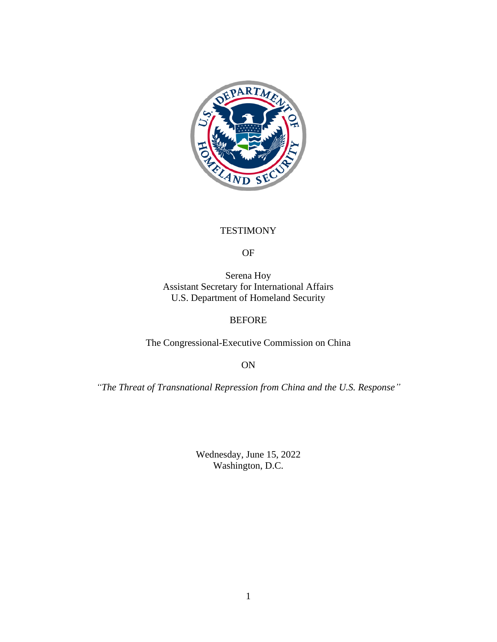

### **TESTIMONY**

#### OF

Serena Hoy Assistant Secretary for International Affairs U.S. Department of Homeland Security

#### BEFORE

The Congressional-Executive Commission on China

ON

*"The Threat of Transnational Repression from China and the U.S. Response"*

Wednesday, June 15, 2022 Washington, D.C.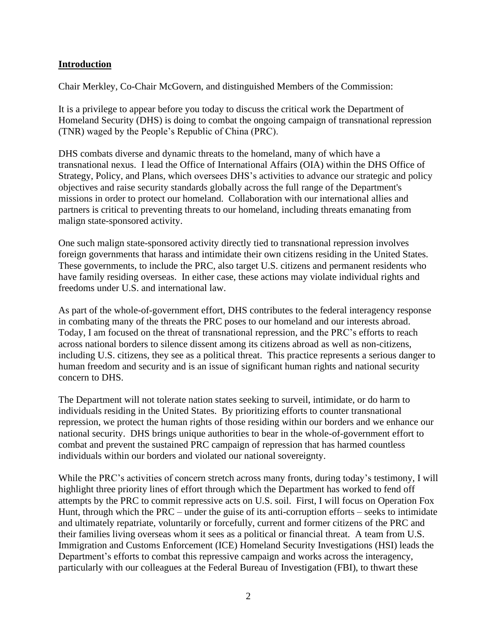## **Introduction**

Chair Merkley, Co-Chair McGovern, and distinguished Members of the Commission:

It is a privilege to appear before you today to discuss the critical work the Department of Homeland Security (DHS) is doing to combat the ongoing campaign of transnational repression (TNR) waged by the People's Republic of China (PRC).

DHS combats diverse and dynamic threats to the homeland, many of which have a transnational nexus. I lead the Office of International Affairs (OIA) within the DHS Office of Strategy, Policy, and Plans, which oversees DHS's activities to advance our strategic and policy objectives and raise security standards globally across the full range of the Department's missions in order to protect our homeland. Collaboration with our international allies and partners is critical to preventing threats to our homeland, including threats emanating from malign state-sponsored activity.

One such malign state-sponsored activity directly tied to transnational repression involves foreign governments that harass and intimidate their own citizens residing in the United States. These governments, to include the PRC, also target U.S. citizens and permanent residents who have family residing overseas. In either case, these actions may violate individual rights and freedoms under U.S. and international law.

As part of the whole-of-government effort, DHS contributes to the federal interagency response in combating many of the threats the PRC poses to our homeland and our interests abroad. Today, I am focused on the threat of transnational repression, and the PRC's efforts to reach across national borders to silence dissent among its citizens abroad as well as non-citizens, including U.S. citizens, they see as a political threat. This practice represents a serious danger to human freedom and security and is an issue of significant human rights and national security concern to DHS.

The Department will not tolerate nation states seeking to surveil, intimidate, or do harm to individuals residing in the United States. By prioritizing efforts to counter transnational repression, we protect the human rights of those residing within our borders and we enhance our national security. DHS brings unique authorities to bear in the whole-of-government effort to combat and prevent the sustained PRC campaign of repression that has harmed countless individuals within our borders and violated our national sovereignty.

While the PRC's activities of concern stretch across many fronts, during today's testimony, I will highlight three priority lines of effort through which the Department has worked to fend off attempts by the PRC to commit repressive acts on U.S. soil. First, I will focus on Operation Fox Hunt, through which the PRC – under the guise of its anti-corruption efforts – seeks to intimidate and ultimately repatriate, voluntarily or forcefully, current and former citizens of the PRC and their families living overseas whom it sees as a political or financial threat. A team from U.S. Immigration and Customs Enforcement (ICE) Homeland Security Investigations (HSI) leads the Department's efforts to combat this repressive campaign and works across the interagency, particularly with our colleagues at the Federal Bureau of Investigation (FBI), to thwart these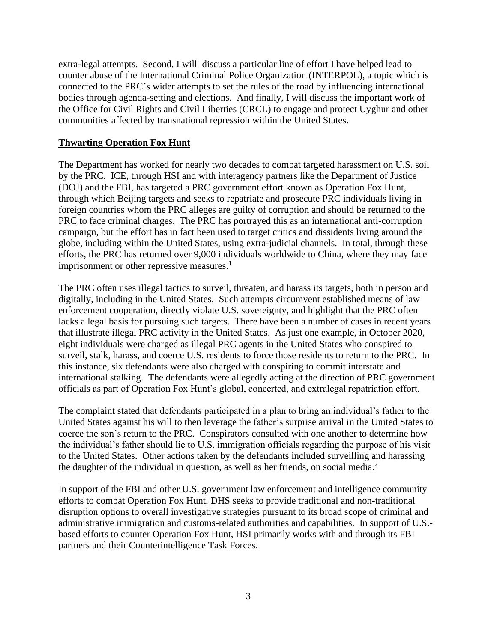extra-legal attempts. Second, I will discuss a particular line of effort I have helped lead to counter abuse of the International Criminal Police Organization (INTERPOL), a topic which is connected to the PRC's wider attempts to set the rules of the road by influencing international bodies through agenda-setting and elections. And finally, I will discuss the important work of the Office for Civil Rights and Civil Liberties (CRCL) to engage and protect Uyghur and other communities affected by transnational repression within the United States.

## **Thwarting Operation Fox Hunt**

The Department has worked for nearly two decades to combat targeted harassment on U.S. soil by the PRC. ICE, through HSI and with interagency partners like the Department of Justice (DOJ) and the FBI, has targeted a PRC government effort known as Operation Fox Hunt, through which Beijing targets and seeks to repatriate and prosecute PRC individuals living in foreign countries whom the PRC alleges are guilty of corruption and should be returned to the PRC to face criminal charges. The PRC has portrayed this as an international anti-corruption campaign, but the effort has in fact been used to target critics and dissidents living around the globe, including within the United States, using extra-judicial channels. In total, through these efforts, the PRC has returned over 9,000 individuals worldwide to China, where they may face imprisonment or other repressive measures.<sup>1</sup>

The PRC often uses illegal tactics to surveil, threaten, and harass its targets, both in person and digitally, including in the United States. Such attempts circumvent established means of law enforcement cooperation, directly violate U.S. sovereignty, and highlight that the PRC often lacks a legal basis for pursuing such targets. There have been a number of cases in recent years that illustrate illegal PRC activity in the United States. As just one example, in October 2020, eight individuals were charged as illegal PRC agents in the United States who conspired to surveil, stalk, harass, and coerce U.S. residents to force those residents to return to the PRC. In this instance, six defendants were also charged with conspiring to commit interstate and international stalking. The defendants were allegedly acting at the direction of PRC government officials as part of Operation Fox Hunt's global, concerted, and extralegal repatriation effort.

The complaint stated that defendants participated in a plan to bring an individual's father to the United States against his will to then leverage the father's surprise arrival in the United States to coerce the son's return to the PRC. Conspirators consulted with one another to determine how the individual's father should lie to U.S. immigration officials regarding the purpose of his visit to the United States. Other actions taken by the defendants included surveilling and harassing the daughter of the individual in question, as well as her friends, on social media.<sup>2</sup>

In support of the FBI and other U.S. government law enforcement and intelligence community efforts to combat Operation Fox Hunt, DHS seeks to provide traditional and non-traditional disruption options to overall investigative strategies pursuant to its broad scope of criminal and administrative immigration and customs-related authorities and capabilities. In support of U.S. based efforts to counter Operation Fox Hunt, HSI primarily works with and through its FBI partners and their Counterintelligence Task Forces.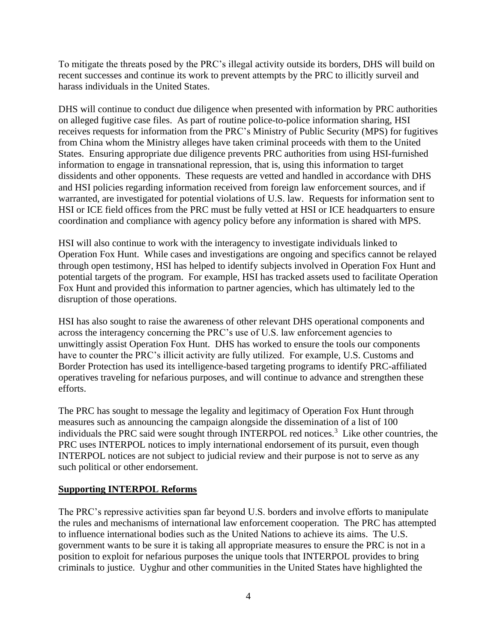To mitigate the threats posed by the PRC's illegal activity outside its borders, DHS will build on recent successes and continue its work to prevent attempts by the PRC to illicitly surveil and harass individuals in the United States.

DHS will continue to conduct due diligence when presented with information by PRC authorities on alleged fugitive case files. As part of routine police-to-police information sharing, HSI receives requests for information from the PRC's Ministry of Public Security (MPS) for fugitives from China whom the Ministry alleges have taken criminal proceeds with them to the United States. Ensuring appropriate due diligence prevents PRC authorities from using HSI-furnished information to engage in transnational repression, that is, using this information to target dissidents and other opponents. These requests are vetted and handled in accordance with DHS and HSI policies regarding information received from foreign law enforcement sources, and if warranted, are investigated for potential violations of U.S. law. Requests for information sent to HSI or ICE field offices from the PRC must be fully vetted at HSI or ICE headquarters to ensure coordination and compliance with agency policy before any information is shared with MPS.

HSI will also continue to work with the interagency to investigate individuals linked to Operation Fox Hunt. While cases and investigations are ongoing and specifics cannot be relayed through open testimony, HSI has helped to identify subjects involved in Operation Fox Hunt and potential targets of the program. For example, HSI has tracked assets used to facilitate Operation Fox Hunt and provided this information to partner agencies, which has ultimately led to the disruption of those operations.

HSI has also sought to raise the awareness of other relevant DHS operational components and across the interagency concerning the PRC's use of U.S. law enforcement agencies to unwittingly assist Operation Fox Hunt. DHS has worked to ensure the tools our components have to counter the PRC's illicit activity are fully utilized. For example, U.S. Customs and Border Protection has used its intelligence-based targeting programs to identify PRC-affiliated operatives traveling for nefarious purposes, and will continue to advance and strengthen these efforts.

The PRC has sought to message the legality and legitimacy of Operation Fox Hunt through measures such as announcing the campaign alongside the dissemination of a list of 100 individuals the PRC said were sought through INTERPOL red notices.<sup>3</sup> Like other countries, the PRC uses INTERPOL notices to imply international endorsement of its pursuit, even though INTERPOL notices are not subject to judicial review and their purpose is not to serve as any such political or other endorsement.

### **Supporting INTERPOL Reforms**

The PRC's repressive activities span far beyond U.S. borders and involve efforts to manipulate the rules and mechanisms of international law enforcement cooperation. The PRC has attempted to influence international bodies such as the United Nations to achieve its aims. The U.S. government wants to be sure it is taking all appropriate measures to ensure the PRC is not in a position to exploit for nefarious purposes the unique tools that INTERPOL provides to bring criminals to justice. Uyghur and other communities in the United States have highlighted the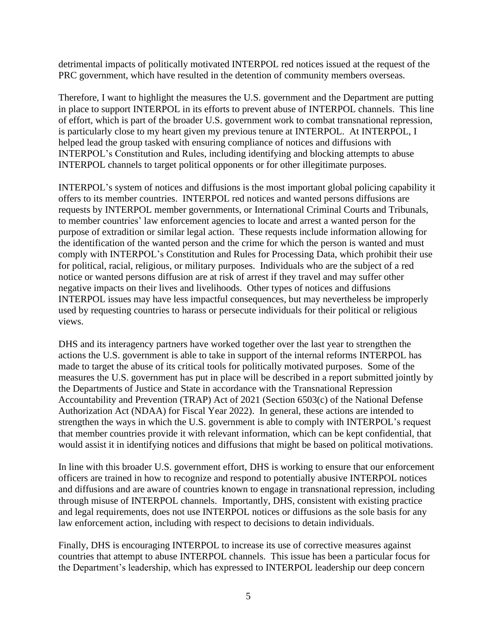detrimental impacts of politically motivated INTERPOL red notices issued at the request of the PRC government, which have resulted in the detention of community members overseas.

Therefore, I want to highlight the measures the U.S. government and the Department are putting in place to support INTERPOL in its efforts to prevent abuse of INTERPOL channels. This line of effort, which is part of the broader U.S. government work to combat transnational repression, is particularly close to my heart given my previous tenure at INTERPOL. At INTERPOL, I helped lead the group tasked with ensuring compliance of notices and diffusions with INTERPOL's Constitution and Rules, including identifying and blocking attempts to abuse INTERPOL channels to target political opponents or for other illegitimate purposes.

INTERPOL's system of notices and diffusions is the most important global policing capability it offers to its member countries. INTERPOL red notices and wanted persons diffusions are requests by INTERPOL member governments, or International Criminal Courts and Tribunals, to member countries' law enforcement agencies to locate and arrest a wanted person for the purpose of extradition or similar legal action. These requests include information allowing for the identification of the wanted person and the crime for which the person is wanted and must comply with [INTERPOL's](https://www.law360.com/whitecollar/articles/1220585/investors-knew-of-mozambique-graft-boustani-jury-hears?nl_pk=57019905-6ac6-4a0d-a03f-9e17c7bdf4ef&utm_source=newsletter&utm_medium=email&utm_campaign=whitecollar) Constitution and Rules for Processing Data, which prohibit their use for political, racial, religious, or military purposes. Individuals who are the subject of a red notice or wanted persons diffusion are at risk of arrest if they travel and may suffer other negative impacts on their lives and livelihoods. Other types of notices and diffusions INTERPOL issues may have less impactful consequences, but may nevertheless be improperly used by requesting countries to harass or persecute individuals for their political or religious views.

DHS and its interagency partners have worked together over the last year to strengthen the actions the U.S. government is able to take in support of the internal reforms INTERPOL has made to target the abuse of its critical tools for politically motivated purposes. Some of the measures the U.S. government has put in place will be described in a report submitted jointly by the Departments of Justice and State in accordance with the Transnational Repression Accountability and Prevention (TRAP) Act of 2021 (Section 6503(c) of the National Defense Authorization Act (NDAA) for Fiscal Year 2022). In general, these actions are intended to strengthen the ways in which the U.S. government is able to comply with INTERPOL's request that member countries provide it with relevant information, which can be kept confidential, that would assist it in identifying notices and diffusions that might be based on political motivations.

In line with this broader U.S. government effort, DHS is working to ensure that our enforcement officers are trained in how to recognize and respond to potentially abusive INTERPOL notices and diffusions and are aware of countries known to engage in transnational repression, including through misuse of INTERPOL channels. Importantly, DHS, consistent with existing practice and legal requirements, does not use INTERPOL notices or diffusions as the sole basis for any law enforcement action, including with respect to decisions to detain individuals.

Finally, DHS is encouraging INTERPOL to increase its use of corrective measures against countries that attempt to abuse INTERPOL channels. This issue has been a particular focus for the Department's leadership, which has expressed to INTERPOL leadership our deep concern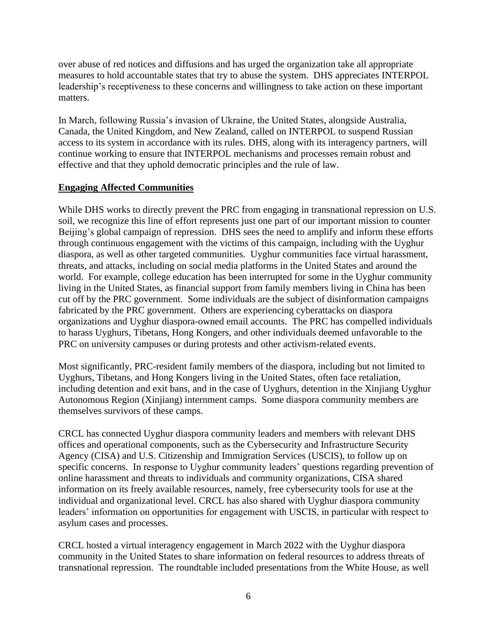over abuse of red notices and diffusions and has urged the organization take all appropriate measures to hold accountable states that try to abuse the system. DHS appreciates INTERPOL leadership's receptiveness to these concerns and willingness to take action on these important matters.

In March, following Russia's invasion of Ukraine, the United States, alongside Australia, Canada, the United Kingdom, and New Zealand, called on INTERPOL to suspend Russian access to its system in accordance with its rules. DHS, along with its interagency partners, will continue working to ensure that INTERPOL mechanisms and processes remain robust and effective and that they uphold democratic principles and the rule of law.

# **Engaging Affected Communities**

While DHS works to directly prevent the PRC from engaging in transnational repression on U.S. soil, we recognize this line of effort represents just one part of our important mission to counter Beijing's global campaign of repression. DHS sees the need to amplify and inform these efforts through continuous engagement with the victims of this campaign, including with the Uyghur diaspora, as well as other targeted communities. Uyghur communities face virtual harassment, threats, and attacks, including on social media platforms in the United States and around the world. For example, college education has been interrupted for some in the Uyghur community living in the United States, as financial support from family members living in China has been cut off by the PRC government. Some individuals are the subject of disinformation campaigns fabricated by the PRC government. Others are experiencing cyberattacks on diaspora organizations and Uyghur diaspora-owned email accounts. The PRC has compelled individuals to harass Uyghurs, Tibetans, Hong Kongers, and other individuals deemed unfavorable to the PRC on university campuses or during protests and other activism-related events.

Most significantly, PRC-resident family members of the diaspora, including but not limited to Uyghurs, Tibetans, and Hong Kongers living in the United States, often face retaliation, including detention and exit bans, and in the case of Uyghurs, detention in the Xinjiang Uyghur Autonomous Region (Xinjiang) internment camps. Some diaspora community members are themselves survivors of these camps.

CRCL has connected Uyghur diaspora community leaders and members with relevant DHS offices and operational components, such as the Cybersecurity and Infrastructure Security Agency (CISA) and U.S. Citizenship and Immigration Services (USCIS), to follow up on specific concerns. In response to Uyghur community leaders' questions regarding prevention of online harassment and threats to individuals and community organizations, CISA shared information on its freely available resources, namely, free cybersecurity tools for use at the individual and organizational level. CRCL has also shared with Uyghur diaspora community leaders' information on opportunities for engagement with USCIS, in particular with respect to asylum cases and processes.

CRCL hosted a virtual interagency engagement in March 2022 with the Uyghur diaspora community in the United States to share information on federal resources to address threats of transnational repression. The roundtable included presentations from the White House, as well